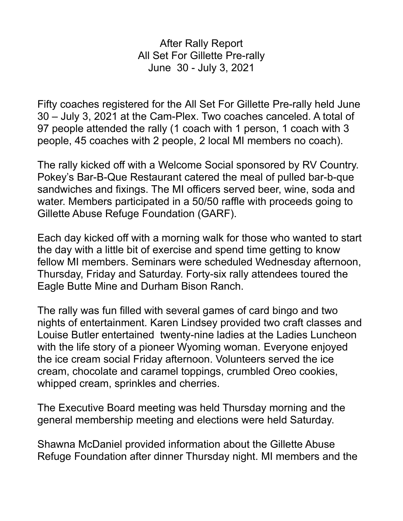After Rally Report All Set For Gillette Pre-rally June 30 - July 3, 2021

Fifty coaches registered for the All Set For Gillette Pre-rally held June 30 – July 3, 2021 at the Cam-Plex. Two coaches canceled. A total of 97 people attended the rally (1 coach with 1 person, 1 coach with 3 people, 45 coaches with 2 people, 2 local MI members no coach).

The rally kicked off with a Welcome Social sponsored by RV Country. Pokey's Bar-B-Que Restaurant catered the meal of pulled bar-b-que sandwiches and fixings. The MI officers served beer, wine, soda and water. Members participated in a 50/50 raffle with proceeds going to Gillette Abuse Refuge Foundation (GARF).

Each day kicked off with a morning walk for those who wanted to start the day with a little bit of exercise and spend time getting to know fellow MI members. Seminars were scheduled Wednesday afternoon, Thursday, Friday and Saturday. Forty-six rally attendees toured the Eagle Butte Mine and Durham Bison Ranch.

The rally was fun filled with several games of card bingo and two nights of entertainment. Karen Lindsey provided two craft classes and Louise Butler entertained twenty-nine ladies at the Ladies Luncheon with the life story of a pioneer Wyoming woman. Everyone enjoyed the ice cream social Friday afternoon. Volunteers served the ice cream, chocolate and caramel toppings, crumbled Oreo cookies, whipped cream, sprinkles and cherries.

The Executive Board meeting was held Thursday morning and the general membership meeting and elections were held Saturday.

Shawna McDaniel provided information about the Gillette Abuse Refuge Foundation after dinner Thursday night. MI members and the